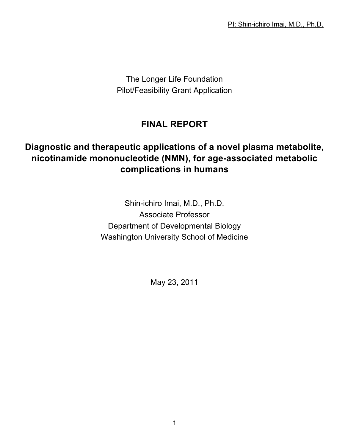The Longer Life Foundation Pilot/Feasibility Grant Application

# **FINAL REPORT**

# **Diagnostic and therapeutic applications of a novel plasma metabolite, nicotinamide mononucleotide (NMN), for age-associated metabolic complications in humans**

Shin-ichiro Imai, M.D., Ph.D. Associate Professor Department of Developmental Biology Washington University School of Medicine

May 23, 2011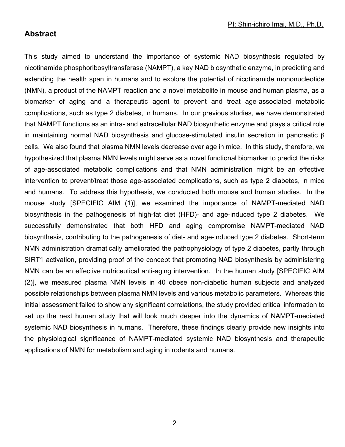### **Abstract**

This study aimed to understand the importance of systemic NAD biosynthesis regulated by nicotinamide phosphoribosyltransferase (NAMPT), a key NAD biosynthetic enzyme, in predicting and extending the health span in humans and to explore the potential of nicotinamide mononucleotide (NMN), a product of the NAMPT reaction and a novel metabolite in mouse and human plasma, as a biomarker of aging and a therapeutic agent to prevent and treat age-associated metabolic complications, such as type 2 diabetes, in humans. In our previous studies, we have demonstrated that NAMPT functions as an intra- and extracellular NAD biosynthetic enzyme and plays a critical role in maintaining normal NAD biosynthesis and glucose-stimulated insulin secretion in pancreatic  $\beta$ cells. We also found that plasma NMN levels decrease over age in mice. In this study, therefore, we hypothesized that plasma NMN levels might serve as a novel functional biomarker to predict the risks of age-associated metabolic complications and that NMN administration might be an effective intervention to prevent/treat those age-associated complications, such as type 2 diabetes, in mice and humans. To address this hypothesis, we conducted both mouse and human studies. In the mouse study [SPECIFIC AIM (1)], we examined the importance of NAMPT-mediated NAD biosynthesis in the pathogenesis of high-fat diet (HFD)- and age-induced type 2 diabetes. We successfully demonstrated that both HFD and aging compromise NAMPT-mediated NAD biosynthesis, contributing to the pathogenesis of diet- and age-induced type 2 diabetes. Short-term NMN administration dramatically ameliorated the pathophysiology of type 2 diabetes, partly through SIRT1 activation, providing proof of the concept that promoting NAD biosynthesis by administering NMN can be an effective nutriceutical anti-aging intervention. In the human study [SPECIFIC AIM (2)], we measured plasma NMN levels in 40 obese non-diabetic human subjects and analyzed possible relationships between plasma NMN levels and various metabolic parameters. Whereas this initial assessment failed to show any significant correlations, the study provided critical information to set up the next human study that will look much deeper into the dynamics of NAMPT-mediated systemic NAD biosynthesis in humans. Therefore, these findings clearly provide new insights into the physiological significance of NAMPT-mediated systemic NAD biosynthesis and therapeutic applications of NMN for metabolism and aging in rodents and humans.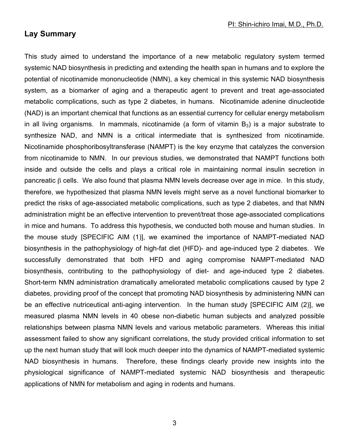## **Lay Summary**

This study aimed to understand the importance of a new metabolic regulatory system termed systemic NAD biosynthesis in predicting and extending the health span in humans and to explore the potential of nicotinamide mononucleotide (NMN), a key chemical in this systemic NAD biosynthesis system, as a biomarker of aging and a therapeutic agent to prevent and treat age-associated metabolic complications, such as type 2 diabetes, in humans. Nicotinamide adenine dinucleotide (NAD) is an important chemical that functions as an essential currency for cellular energy metabolism in all living organisms. In mammals, nicotinamide (a form of vitamin  $B_3$ ) is a major substrate to synthesize NAD, and NMN is a critical intermediate that is synthesized from nicotinamide. Nicotinamide phosphoribosyltransferase (NAMPT) is the key enzyme that catalyzes the conversion from nicotinamide to NMN. In our previous studies, we demonstrated that NAMPT functions both inside and outside the cells and plays a critical role in maintaining normal insulin secretion in pancreatic β cells. We also found that plasma NMN levels decrease over age in mice. In this study, therefore, we hypothesized that plasma NMN levels might serve as a novel functional biomarker to predict the risks of age-associated metabolic complications, such as type 2 diabetes, and that NMN administration might be an effective intervention to prevent/treat those age-associated complications in mice and humans. To address this hypothesis, we conducted both mouse and human studies. In the mouse study [SPECIFIC AIM (1)], we examined the importance of NAMPT-mediated NAD biosynthesis in the pathophysiology of high-fat diet (HFD)- and age-induced type 2 diabetes. We successfully demonstrated that both HFD and aging compromise NAMPT-mediated NAD biosynthesis, contributing to the pathophysiology of diet- and age-induced type 2 diabetes. Short-term NMN administration dramatically ameliorated metabolic complications caused by type 2 diabetes, providing proof of the concept that promoting NAD biosynthesis by administering NMN can be an effective nutriceutical anti-aging intervention. In the human study [SPECIFIC AIM (2)], we measured plasma NMN levels in 40 obese non-diabetic human subjects and analyzed possible relationships between plasma NMN levels and various metabolic parameters. Whereas this initial assessment failed to show any significant correlations, the study provided critical information to set up the next human study that will look much deeper into the dynamics of NAMPT-mediated systemic NAD biosynthesis in humans. Therefore, these findings clearly provide new insights into the physiological significance of NAMPT-mediated systemic NAD biosynthesis and therapeutic applications of NMN for metabolism and aging in rodents and humans.

3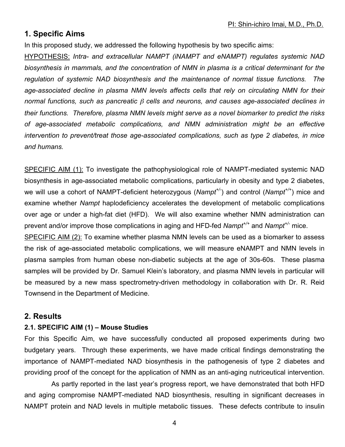### **1. Specific Aims**

In this proposed study, we addressed the following hypothesis by two specific aims:

HYPOTHESIS: *Intra- and extracellular NAMPT (iNAMPT and eNAMPT) regulates systemic NAD biosynthesis in mammals, and the concentration of NMN in plasma is a critical determinant for the regulation of systemic NAD biosynthesis and the maintenance of normal tissue functions. The age-associated decline in plasma NMN levels affects cells that rely on circulating NMN for their normal functions, such as pancreatic* β *cells and neurons, and causes age-associated declines in their functions. Therefore, plasma NMN levels might serve as a novel biomarker to predict the risks of age-associated metabolic complications, and NMN administration might be an effective intervention to prevent/treat those age-associated complications, such as type 2 diabetes, in mice and humans.*

SPECIFIC AIM (1): To investigate the pathophysiological role of NAMPT-mediated systemic NAD biosynthesis in age-associated metabolic complications, particularly in obesity and type 2 diabetes, we will use a cohort of NAMPT-deficient heterozygous (*Nampt+/-* ) and control (*Nampt+/+*) mice and examine whether *Nampt* haplodeficiency accelerates the development of metabolic complications over age or under a high-fat diet (HFD). We will also examine whether NMN administration can prevent and/or improve those complications in aging and HFD-fed *Nampt*<sup>+/+</sup> and *Nampt*<sup>+/-</sup> mice.

SPECIFIC AIM (2): To examine whether plasma NMN levels can be used as a biomarker to assess the risk of age-associated metabolic complications, we will measure eNAMPT and NMN levels in plasma samples from human obese non-diabetic subjects at the age of 30s-60s. These plasma samples will be provided by Dr. Samuel Klein's laboratory, and plasma NMN levels in particular will be measured by a new mass spectrometry-driven methodology in collaboration with Dr. R. Reid Townsend in the Department of Medicine.

### **2. Results**

#### **2.1. SPECIFIC AIM (1) – Mouse Studies**

For this Specific Aim, we have successfully conducted all proposed experiments during two budgetary years. Through these experiments, we have made critical findings demonstrating the importance of NAMPT-mediated NAD biosynthesis in the pathogenesis of type 2 diabetes and providing proof of the concept for the application of NMN as an anti-aging nutriceutical intervention.

As partly reported in the last year's progress report, we have demonstrated that both HFD and aging compromise NAMPT-mediated NAD biosynthesis, resulting in significant decreases in NAMPT protein and NAD levels in multiple metabolic tissues. These defects contribute to insulin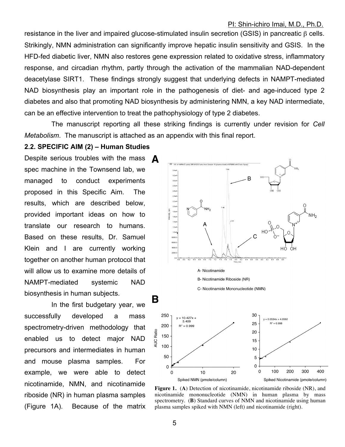resistance in the liver and impaired glucose-stimulated insulin secretion (GSIS) in pancreatic β cells. Strikingly, NMN administration can significantly improve hepatic insulin sensitivity and GSIS. In the HFD-fed diabetic liver, NMN also restores gene expression related to oxidative stress, inflammatory response, and circadian rhythm, partly through the activation of the mammalian NAD-dependent deacetylase SIRT1. These findings strongly suggest that underlying defects in NAMPT-mediated NAD biosynthesis play an important role in the pathogenesis of diet- and age-induced type 2 diabetes and also that promoting NAD biosynthesis by administering NMN, a key NAD intermediate, can be an effective intervention to treat the pathophysiology of type 2 diabetes.

The manuscript reporting all these striking findings is currently under revision for *Cell Metabolism*. The manuscript is attached as an appendix with this final report.

#### **2.2. SPECIFIC AIM (2) – Human Studies**

Despite serious troubles with the mass  $\Delta$ spec machine in the Townsend lab, we managed to conduct experiments proposed in this Specific Aim. The results, which are described below, provided important ideas on how to translate our research to humans. Based on these results, Dr. Samuel Klein and I are currently working together on another human protocol that will allow us to examine more details of NAMPT-mediated systemic NAD biosynthesis in human subjects.

In the first budgetary year, we successfully developed a mass spectrometry-driven methodology that enabled us to detect major NAD precursors and intermediates in human and mouse plasma samples. For example, we were able to detect nicotinamide, NMN, and nicotinamide riboside (NR) in human plasma samples (Figure 1A). Because of the matrix



**Figure 1.** (**A**) Detection of nicotinamide, nicotinamide riboside (NR), and nicotinamide mononucleotide (NMN) in human plasma by mass spectrometry. (**B**) Standard curves of NMN and nicotinamide using human plasma samples spiked with NMN (left) and nicotinamide (right).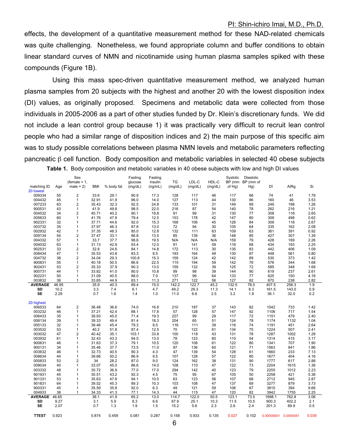effects, the development of a quantitative measurement method for these NAD-related chemicals was quite challenging. Nonetheless, we found appropriate column and buffer conditions to obtain linear standard curves of NMN and nicotinamide using human plasma samples spiked with these compounds (Figure 1B).

Using this mass spec-driven quantitative measurement method, we analyzed human plasma samples from 20 subjects with the highest and another 20 with the lowest disposition index (DI) values, as originally proposed. Specimens and metabolic data were collected from those individuals in 2005-2006 as a part of other studies funded by Dr. Klein's discretionary funds. We did not include a lean control group because 1) it was practically very difficult to recruit lean control people who had a similar range of disposition indices and 2) the main purpose of this specific aim was to study possible correlations between plasma NMN levels and metabolic parameters reflecting pancreatic β cell function. Body composition and metabolic variables in selected 40 obese subjects **Table 1.** Body composition and metabolic variables in 40 obese subjects with low and high DI values

| matching ID    |       | Sex<br>(female = $1$ ,<br>$male = 2)$ | <b>BMI</b> | % body fat | Fasting<br>glucose<br>(mg/dL) | Fasting<br>insulin<br>(ng/mL) | TG      | LDL-C   | HDL-C<br>(mg/dL) | Systolic<br>BP (mm<br>of Hg) | <b>Diastolic</b><br>BP (mm of<br>Hg) | DI         | AIRg      | Si    |
|----------------|-------|---------------------------------------|------------|------------|-------------------------------|-------------------------------|---------|---------|------------------|------------------------------|--------------------------------------|------------|-----------|-------|
| 20 lowest      | Age   |                                       |            |            |                               |                               | (mg/dL) | (mg/dL) |                  |                              |                                      |            |           |       |
| 009334         | 55    | $\overline{2}$                        | 33.6       | 29.1       | 90.9                          | 17.3                          | 128     | 117     | 46               | 117                          | 66                                   | 74         | 41        | 1.79  |
| 004432         | 45    | $\mathbf{1}$                          | 32.91      | 41.9       | 96.0                          | 14.0                          | 127     | 113     | 44               | 130                          | 86                                   | 160        | 46        | 3.53  |
| 007233         | 63    | $\overline{2}$                        | 35.43      | 32.3       | 92.5                          | 24.8                          | 133     | 101     | 31               | 149                          | 89                                   | 249        | 198       | 1.26  |
| 900531         | 43    | 1                                     | 41.9       | 49.8       | 98.5                          | 22.0                          | 216     | 87      | 54               | 140                          | 78                                   | 262        | 216       | 1.21  |
| 004532         | 34    | $\overline{2}$                        | 40.71      | 40.2       | 90.1                          | 19.8                          | 91      | 99      | 31               | 130                          | 77                                   | 308        | 116       | 2.65  |
| 005633         | 60    | 1                                     | 41.76      | 47.9       | 79.4                          | 12.5                          | 153     | 178     | 42               | 147                          | 80                                   | 309        | 498       | 0.62  |
| 902331         | 32    | 1                                     | 37.71      | 44.6       | 92.0                          | 15.3                          | 168     | 106     | 45               | 126                          | 84                                   | 309        | 116       | 2.67  |
| 003732         | 35    | $\mathbf{1}$                          | 37.97      | 46.3       | 87.8                          | 13.0                          | 72      | 94      | 30               | 105                          | 64                                   | 335        | 162       | 2.08  |
| 002932         | 42    | 1                                     | 37.35      | 48.3       | 85.0                          | 12.8                          | 132     | 111     | 63               | 109                          | 63                                   | 361        | 391       | 0.92  |
| 009134         | 54    | $\overline{2}$                        | 37.47      | 33.1       | 86.8                          | 13.5                          | 85      | 139     | 36               | 148                          | 85                                   | 427        | 307       | 1.39  |
| 004332         | 57    | $\mathbf{1}$                          | 33.7       | 37.7       | 98.6                          | 19.5                          | N/A     | N/A     | N/A              | 159                          | 79                                   | 428        | 189       | 2.26  |
| 004032         | 63    | $\mathbf{1}$                          | 31.13      | 42.9       | 93.4                          | 12.0                          | 91      | 141     | 59               | 116                          | 68                                   | 434        | 193       | 2.25  |
| 902531         | 33    | $\overline{2}$                        | 32.8       | 24.6       | 84.1                          | 14.8                          | 172     | 113     | 30               | 135                          | 83                                   | 442        | 406       | 1.09  |
| 008434         | 47    | $\mathbf{1}$                          | 35.53      | 43.8       | 83.3                          | 8.5                           | 193     | 164     | 49               | 130                          | 87                                   | 448        | 561       | 0.80  |
| 004732         | 38    | $\overline{2}$                        | 34.04      | 29.3       | 100.8                         | 15.3                          | 159     | 124     | 42               | 142                          | 89                                   | 530        | 373       | 1.42  |
| 900831         | 55    | $\mathbf{1}$                          | 40.18      | 50.5       | 86.6                          | 22.5                          | 115     | 194     | 59               | 142                          | 76                                   | 576        | 344       | 1.68  |
| 902431         | 53    | $\overline{2}$                        | 35.33      | 37.9       | 90.3                          | 13.0                          | 159     | 132     | 39               | 125                          | 72                                   | 585        | 348       | 1.68  |
| 900731         | 44    | $\mathbf{1}$                          | 33.82      | 41.0       | 80.0                          | 10.8                          | 99      | 98      | 39               | 144                          | 90                                   | 619        | 237       | 2.61  |
| 902231         | 50    | 1                                     | 31.09      | 40.5       | 88.0                          | 7.0                           | 137     | 99      | 64               | 133                          | 77                                   | 625        | 150       | 4.18  |
| 003832         | 36    | 1                                     | 33.65      | 44.9       | 83.1                          | 11.3                          | 271     | 122     | 56               | 127                          | 82                                   | 670        | 238       | 2.82  |
| <b>AVERAGE</b> | 46.95 |                                       | 35.9       | 40.3       | 89.4                          | 15.0                          | 142.2   | 122.7   | 45.2             | 132.5                        | 78.5                                 | 407.5      | 256.3     | 1.9   |
| SD             | 10.2  |                                       | 3.3        | 7.4        | 6.1                           | 4.7                           | 49.2    | 29.3    | 11.3             | 14.1                         | 8.3                                  | 161.5      | 143.0     | 0.9   |
| <b>SE</b>      | 2.29  |                                       | 0.7        | 1.6        | 1.4                           | 1.0                           | 11.0    | 6.6     | 2.5              | 3.2                          | 1.9                                  | 36.1       | 32.0      | 0.2   |
|                |       |                                       |            |            |                               |                               |         |         |                  |                              |                                      |            |           |       |
| 20 highest     |       |                                       |            |            |                               |                               |         |         |                  |                              |                                      |            |           |       |
| 006533         | 64    | $\overline{2}$                        | 36.48      | 36.6       | 74.0                          | 16.8                          | 210     | 187     | 37               | 143                          | 82                                   | 1042       | 733       | 1.42  |
| 003232         | 46    | $\mathbf{1}$                          | 37.21      | 42.4       | 88.1                          | 17.8                          | 57      | 128     | 57               | 147                          | 92                                   | 1106       | 717       | 1.54  |
| 006433         | 35    | 1                                     | 38.93      | 45.0       | 71.4                          | 19.3                          | 227     | 99      | 29               | 117                          | 72                                   | 1151       | 479       | 2.40  |
| 008134         | 39    | 1                                     | 39.33      | 49.4       | 81.4                          | 18.3                          | 204     | 65      | 51               | 124                          | 78                                   | 1174       | 1132      | 1.04  |
| 005133         | 32    | 1                                     | 38.46      | 45.4       | 79.3                          | 8.5                           | 116     | 111     | 39               | 116                          | 74                                   | 1191       | 451       | 2.64  |
| 003532         | 53    | $\mathbf{1}$                          | 40.2       | 51.8       | 87.4                          | 12.5                          | 70      | 122     | 61               | 134                          | 75                                   | 1224       | 507       | 2.41  |
| 003032         | 47    | $\overline{2}$                        | 40.42      | 35.1       | 103.1                         | 33.8                          | 100     | 118     | 43               | 131                          | 78                                   | 1287       | 1002      | 1.28  |
| 003932         | 61    | 1                                     | 32.43      | 43.3       | 94.5                          | 13.0                          | 78      | 123     | 60               | 110                          | 54                                   | 1314       | 415       | 3.17  |
| 900631         | 46    | $\mathbf{1}$                          | 31.63      | 37.3       | 79.1                          | 10.5                          | 120     | 108     | 61               | 122                          | 80                                   | 1341       | 707       | 1.90  |
| 900131         | 34    | 1                                     | 35.46      | 37.7       | 73.5                          | 11.0                          | 97      | 136     | 60               | 121                          | 71                                   | 1563       | 841       | 1.86  |
| 003632         | 46    | 1                                     | 32.73      | 40.5       | 90.3                          | 4.3                           | 47      | 139     | 54               | 128                          | 61                                   | 1660       | 233       | 7.13  |
| 008634         | 44    | 1                                     | 39.66      | 50.2       | 86.9                          | 9.5                           | 107     | 128     | 57               | 122                          | 80                                   | 1677       | 404       | 4.16  |
| 005833         | 53    | $\overline{2}$                        | 34         | 28.2       | 87.0                          | 9.0                           | 124     | 162     | 38               | 131                          | 90                                   | 1777       | 617       | 2.88  |
| 009034         | 40    | $\mathbf 1$                           | 33.07      | 45.0       | 86.6                          | 14.0                          | 108     | 110     | 47               | 122                          | 73                                   | 2204       | 1615      | 1.36  |
| 003332         | 48    | 1                                     | 35.72      | 36.9       | 77.0                          | 17.0                          | 294     | 142     | 40               | 123                          | 79                                   | 2255       | 1012      | 2.23  |
| 901931         | 45    | 1                                     | 30.51      | 43.2       | 92.3                          | 4.5                           | 75      | 95      | 67               | 105                          | 50                                   | 2258       | 421       | 5.36  |
| 901331         | 53    | 1                                     | 35.63      | 47.8       | 94.1                          | 10.0                          | 63      | 123     | 56               | 107                          | 68                                   | 2712       | 945       | 2.87  |
| 901831         | 64    | 1                                     | 39.52      | 45.3       | 89.3                          | 10.3                          | 103     | 108     | 47               | 137                          | 69                                   | 3277       | 879       | 3.73  |
| 900331         | 45    | 1                                     | 35.59      | 35.8       | 92.0                          | 6.3                           | 49      | 121     | 59               | 106                          | 67                                   | 3810       | 394       | 9.66  |
| 004933         | 38    | $\mathbf{1}$                          | 34.33      | 41.3       | 77.1                          | 14.3                          | 44      | 115     | 47               | 120                          | 82                                   | 3942       | 1755      | 2.25  |
| <b>AVERAGE</b> | 46.65 |                                       | 36.1       | 41.9       | 85.2                          | 13.0                          | 114.7   | 122.0   | 50.5             | 123.1                        | 73.5                                 | 1898.1     | 762.8     | 3.06  |
| SD             | 9.27  |                                       | 3.1        | 5.9        | 8.3                           | 6.6                           | 67.9    | 25.1    | 10.3             | 11.5                         | 10.5                                 | 900.3      | 402.2     | 2.1   |
| SE             | 2.07  |                                       | 0.7        | 1.3        | 1.9                           | 1.5                           | 15.2    | 5.6     | 2.3              | 2.6                          | 2.4                                  | 201.3      | 89.9      | 0.5   |
|                |       |                                       |            |            |                               |                               |         |         |                  |                              |                                      |            |           |       |
| <b>TTEST</b>   | 0.923 |                                       | 0.874      | 0.459      | 0.081                         | 0.287                         | 0.158   | 0.933   | 0.135            | 0.027                        | 0.102                                | 0.00000001 | 0.0000051 | 0.039 |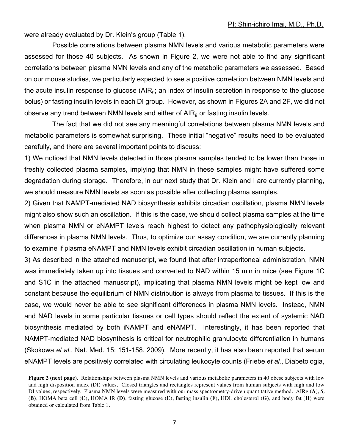were already evaluated by Dr. Klein's group (Table 1).

Possible correlations between plasma NMN levels and various metabolic parameters were assessed for those 40 subjects. As shown in Figure 2, we were not able to find any significant correlations between plasma NMN levels and any of the metabolic parameters we assessed. Based on our mouse studies, we particularly expected to see a positive correlation between NMN levels and the acute insulin response to glucose ( $AIR<sub>g</sub>$ ; an index of insulin secretion in response to the glucose bolus) or fasting insulin levels in each DI group. However, as shown in Figures 2A and 2F, we did not observe any trend between NMN levels and either of  $AIR<sub>a</sub>$  or fasting insulin levels.

The fact that we did not see any meaningful correlations between plasma NMN levels and metabolic parameters is somewhat surprising. These initial "negative" results need to be evaluated carefully, and there are several important points to discuss:

1) We noticed that NMN levels detected in those plasma samples tended to be lower than those in freshly collected plasma samples, implying that NMN in these samples might have suffered some degradation during storage. Therefore, in our next study that Dr. Klein and I are currently planning, we should measure NMN levels as soon as possible after collecting plasma samples.

2) Given that NAMPT-mediated NAD biosynthesis exhibits circadian oscillation, plasma NMN levels might also show such an oscillation. If this is the case, we should collect plasma samples at the time when plasma NMN or eNAMPT levels reach highest to detect any pathophysiologically relevant differences in plasma NMN levels. Thus, to optimize our assay condition, we are currently planning to examine if plasma eNAMPT and NMN levels exhibit circadian oscillation in human subjects.

3) As described in the attached manuscript, we found that after intraperitoneal administration, NMN was immediately taken up into tissues and converted to NAD within 15 min in mice (see Figure 1C and S1C in the attached manuscript), implicating that plasma NMN levels might be kept low and constant because the equilibrium of NMN distribution is always from plasma to tissues. If this is the case, we would never be able to see significant differences in plasma NMN levels. Instead, NMN and NAD levels in some particular tissues or cell types should reflect the extent of systemic NAD biosynthesis mediated by both iNAMPT and eNAMPT. Interestingly, it has been reported that NAMPT-mediated NAD biosynthesis is critical for neutrophilic granulocyte differentiation in humans (Skokowa *et al.*, Nat. Med. 15: 151-158, 2009). More recently, it has also been reported that serum eNAMPT levels are positively correlated with circulating leukocyte counts (Friebe *et al.*, Diabetologia,

**Figure 2 (next page).** Relationships between plasma NMN levels and various metabolic parameters in 40 obese subjects with low and high disposition index (DI) values. Closed triangles and rectangles represent values from human subjects with high and low DI values, respectively. Plasma NMN levels were measured with our mass spectrometry-driven quantitative method. AIRg  $(A)$ ,  $S<sub>I</sub>$ (**B**), HOMA beta cell (**C**), HOMA IR (**D**), fasting glucose (**E**), fasting insulin (**F**), HDL cholesterol (**G**), and body fat (**H**) were obtained or calculated from Table 1.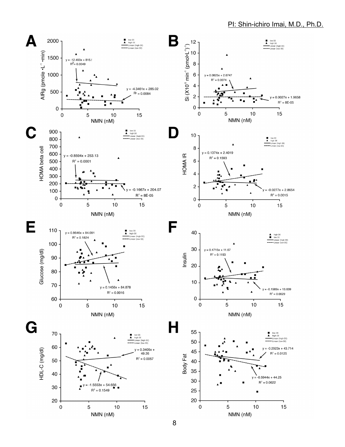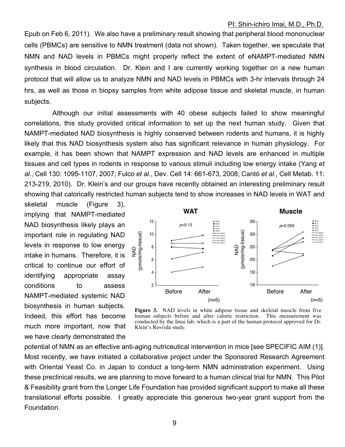Epub on Feb 6, 2011). We also have a preliminary result showing that peripheral blood mononuclear cells (PBMCs) are sensitive to NMN treatment (data not shown). Taken together, we speculate that NMN and NAD levels in PBMCs might properly reflect the extent of eNAMPT-mediated NMN synthesis in blood circulation. Dr. Klein and I are currently working together on a new human protocol that will allow us to analyze NMN and NAD levels in PBMCs with 3-hr intervals through 24 hrs, as well as those in biopsy samples from white adipose tissue and skeletal muscle, in human subjects.

Although our initial assessments with 40 obese subjects failed to show meaningful correlations, this study provided critical information to set up the next human study. Given that NAMPT-mediated NAD biosynthesis is highly conserved between rodents and humans, it is highly likely that this NAD biosynthesis system also has significant relevance in human physiology. For example, it has been shown that NAMPT expression and NAD levels are enhanced in multiple tissues and cell types in rodents in response to various stimuli including low energy intake (Yang *et al.*, Cell 130: 1095-1107, 2007; Fulco *et al.*, Dev. Cell 14: 661-673, 2008; Cantó *et al.*, Cell Metab. 11: 213-219, 2010). Dr. Klein's and our groups have recently obtained an interesting preliminary result showing that calorically restricted human subjects tend to show increases in NAD levels in WAT and

skeletal muscle (Figure 3), implying that NAMPT-mediated NAD biosynthesis likely plays an important role in regulating NAD levels in response to low energy intake in humans. Therefore, it is critical to continue our effort of identifying appropriate assay conditions to assess NAMPT-mediated systemic NAD biosynthesis in human subjects. Indeed, this effort has become much more important, now that we have clearly demonstrated the



**Figure 3.** NAD levels in white adipose tissue and skeletal muscle from five human subjects before and after caloric restriction. This measurement was conducted by the Imai lab, which is a part of the human protocol approved for Dr. Klein's Resvida study.

potential of NMN as an effective anti-aging nutriceutical intervention in mice [see SPECIFIC AIM (1)]. Most recently, we have initiated a collaborative project under the Sponsored Research Agreement with Oriental Yeast Co. in Japan to conduct a long-term NMN administration experiment. Using these preclinical results, we are planning to move forward to a human clinical trial for NMN. This Pilot & Feasibility grant from the Longer Life Foundation has provided significant support to make all these translational efforts possible. I greatly appreciate this generous two-year grant support from the Foundation.